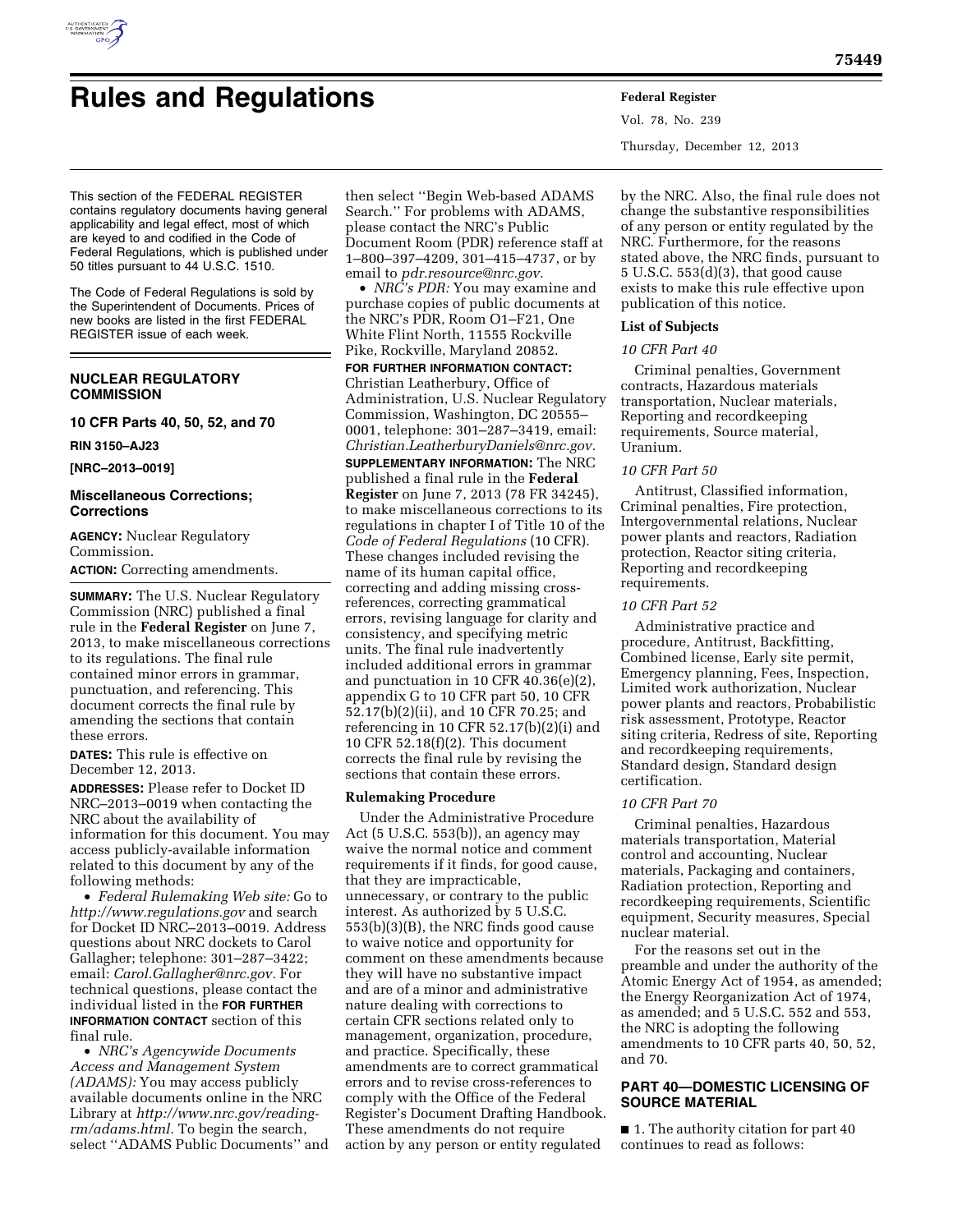

# **Rules and Regulations Federal Register**

This section of the FEDERAL REGISTER contains regulatory documents having general applicability and legal effect, most of which are keyed to and codified in the Code of Federal Regulations, which is published under 50 titles pursuant to 44 U.S.C. 1510.

The Code of Federal Regulations is sold by the Superintendent of Documents. Prices of new books are listed in the first FEDERAL REGISTER issue of each week.

# **NUCLEAR REGULATORY COMMISSION**

## **10 CFR Parts 40, 50, 52, and 70**

**RIN 3150–AJ23** 

**[NRC–2013–0019]** 

# **Miscellaneous Corrections; Corrections**

**AGENCY:** Nuclear Regulatory Commission. **ACTION:** Correcting amendments.

**SUMMARY:** The U.S. Nuclear Regulatory Commission (NRC) published a final rule in the **Federal Register** on June 7, 2013, to make miscellaneous corrections to its regulations. The final rule contained minor errors in grammar, punctuation, and referencing. This document corrects the final rule by amending the sections that contain these errors.

**DATES:** This rule is effective on December 12, 2013.

**ADDRESSES:** Please refer to Docket ID NRC–2013–0019 when contacting the NRC about the availability of information for this document. You may access publicly-available information related to this document by any of the following methods:

• *Federal Rulemaking Web site:* Go to *<http://www.regulations.gov>* and search for Docket ID NRC–2013–0019. Address questions about NRC dockets to Carol Gallagher; telephone: 301–287–3422; email: *[Carol.Gallagher@nrc.gov.](mailto:Carol.Gallagher@nrc.gov)* For technical questions, please contact the individual listed in the **FOR FURTHER INFORMATION CONTACT** section of this final rule.

• *NRC's Agencywide Documents Access and Management System (ADAMS):* You may access publicly available documents online in the NRC Library at *[http://www.nrc.gov/reading](http://www.nrc.gov/reading-rm/adams.html)[rm/adams.html.](http://www.nrc.gov/reading-rm/adams.html)* To begin the search, select ''ADAMS Public Documents'' and then select ''Begin Web-based ADAMS Search.'' For problems with ADAMS, please contact the NRC's Public Document Room (PDR) reference staff at 1–800–397–4209, 301–415–4737, or by email to *[pdr.resource@nrc.gov.](mailto:pdr.resource@nrc.gov)* 

• *NRC's PDR:* You may examine and purchase copies of public documents at the NRC's PDR, Room O1–F21, One White Flint North, 11555 Rockville Pike, Rockville, Maryland 20852.

**FOR FURTHER INFORMATION CONTACT:**  Christian Leatherbury, Office of Administration, U.S. Nuclear Regulatory Commission, Washington, DC 20555– 0001, telephone: 301–287–3419, email: *[Christian.LeatherburyDaniels@nrc.gov.](mailto:Christian.LeatherburyDaniels@nrc.gov)*  **SUPPLEMENTARY INFORMATION:** The NRC published a final rule in the **Federal Register** on June 7, 2013 (78 FR 34245), to make miscellaneous corrections to its regulations in chapter I of Title 10 of the *Code of Federal Regulations* (10 CFR). These changes included revising the name of its human capital office, correcting and adding missing crossreferences, correcting grammatical errors, revising language for clarity and consistency, and specifying metric units. The final rule inadvertently included additional errors in grammar and punctuation in 10 CFR 40.36(e)(2), appendix G to 10 CFR part 50, 10 CFR 52.17(b)(2)(ii), and 10 CFR 70.25; and referencing in 10 CFR 52.17(b)(2)(i) and 10 CFR 52.18(f)(2). This document corrects the final rule by revising the sections that contain these errors.

# **Rulemaking Procedure**

Under the Administrative Procedure Act (5 U.S.C. 553(b)), an agency may waive the normal notice and comment requirements if it finds, for good cause, that they are impracticable, unnecessary, or contrary to the public interest. As authorized by 5 U.S.C. 553(b)(3)(B), the NRC finds good cause to waive notice and opportunity for comment on these amendments because they will have no substantive impact and are of a minor and administrative nature dealing with corrections to certain CFR sections related only to management, organization, procedure, and practice. Specifically, these amendments are to correct grammatical errors and to revise cross-references to comply with the Office of the Federal Register's Document Drafting Handbook. These amendments do not require action by any person or entity regulated

Vol. 78, No. 239 Thursday, December 12, 2013

by the NRC. Also, the final rule does not change the substantive responsibilities of any person or entity regulated by the NRC. Furthermore, for the reasons stated above, the NRC finds, pursuant to 5 U.S.C. 553(d)(3), that good cause exists to make this rule effective upon publication of this notice.

### **List of Subjects**

# *10 CFR Part 40*

Criminal penalties, Government contracts, Hazardous materials transportation, Nuclear materials, Reporting and recordkeeping requirements, Source material, Uranium.

# *10 CFR Part 50*

Antitrust, Classified information, Criminal penalties, Fire protection, Intergovernmental relations, Nuclear power plants and reactors, Radiation protection, Reactor siting criteria, Reporting and recordkeeping requirements.

## *10 CFR Part 52*

Administrative practice and procedure, Antitrust, Backfitting, Combined license, Early site permit, Emergency planning, Fees, Inspection, Limited work authorization, Nuclear power plants and reactors, Probabilistic risk assessment, Prototype, Reactor siting criteria, Redress of site, Reporting and recordkeeping requirements, Standard design, Standard design certification.

### *10 CFR Part 70*

Criminal penalties, Hazardous materials transportation, Material control and accounting, Nuclear materials, Packaging and containers, Radiation protection, Reporting and recordkeeping requirements, Scientific equipment, Security measures, Special nuclear material.

For the reasons set out in the preamble and under the authority of the Atomic Energy Act of 1954, as amended; the Energy Reorganization Act of 1974, as amended; and 5 U.S.C. 552 and 553, the NRC is adopting the following amendments to 10 CFR parts 40, 50, 52, and 70.

# **PART 40—DOMESTIC LICENSING OF SOURCE MATERIAL**

■ 1. The authority citation for part 40 continues to read as follows: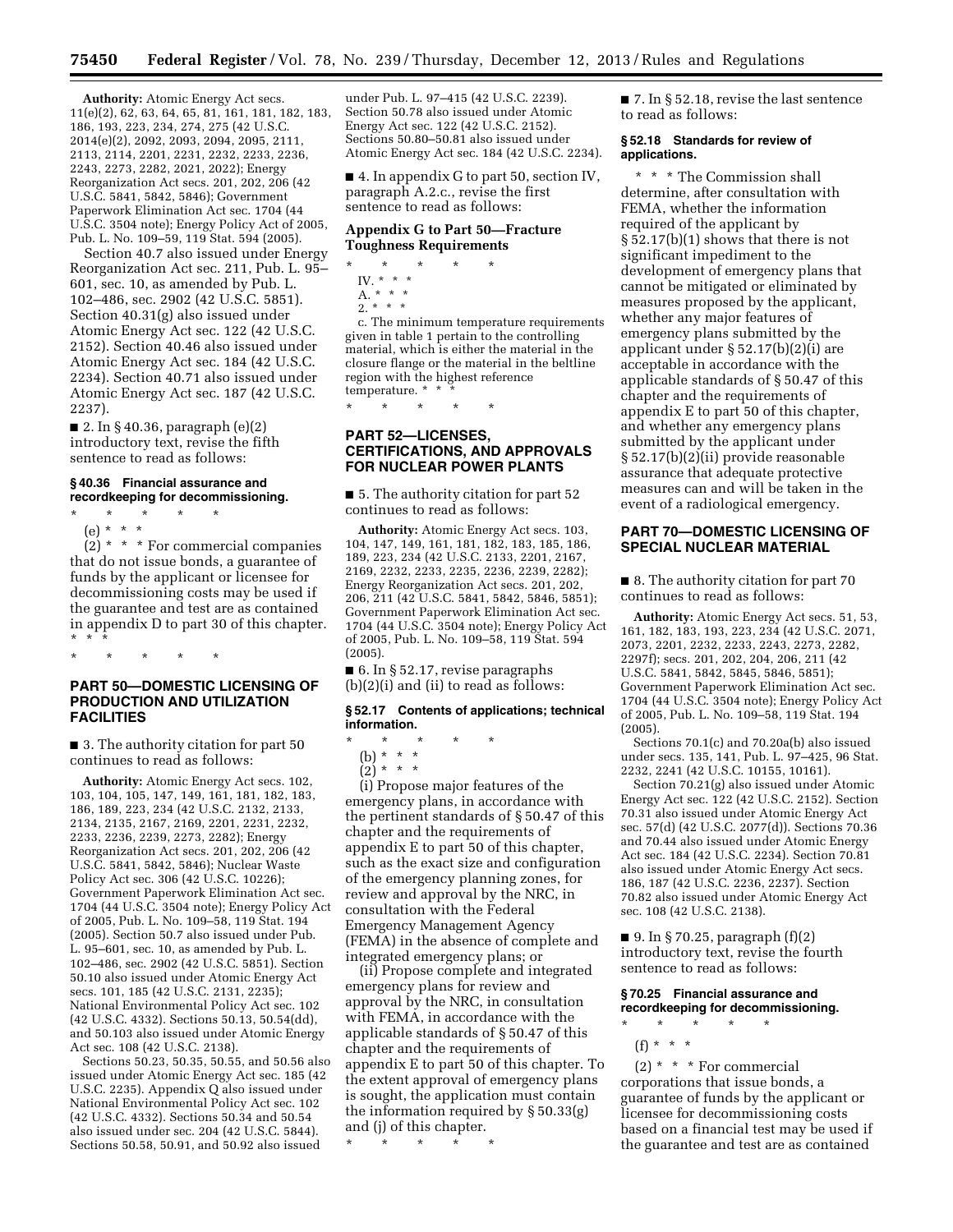**Authority:** Atomic Energy Act secs. 11(e)(2), 62, 63, 64, 65, 81, 161, 181, 182, 183, 186, 193, 223, 234, 274, 275 (42 U.S.C. 2014(e)(2), 2092, 2093, 2094, 2095, 2111, 2113, 2114, 2201, 2231, 2232, 2233, 2236, 2243, 2273, 2282, 2021, 2022); Energy Reorganization Act secs. 201, 202, 206 (42 U.S.C. 5841, 5842, 5846); Government Paperwork Elimination Act sec. 1704 (44 U.S.C. 3504 note); Energy Policy Act of 2005, Pub. L. No. 109–59, 119 Stat. 594 (2005).

Section 40.7 also issued under Energy Reorganization Act sec. 211, Pub. L. 95– 601, sec. 10, as amended by Pub. L. 102–486, sec. 2902 (42 U.S.C. 5851). Section 40.31(g) also issued under Atomic Energy Act sec. 122 (42 U.S.C. 2152). Section 40.46 also issued under Atomic Energy Act sec. 184 (42 U.S.C. 2234). Section 40.71 also issued under Atomic Energy Act sec. 187 (42 U.S.C. 2237).

■ 2. In § 40.36, paragraph  $(e)(2)$ introductory text, revise the fifth sentence to read as follows:

## **§ 40.36 Financial assurance and recordkeeping for decommissioning.**

\* \* \* \* \* (e) \* \* \*

 $(2)$  \* \* \* For commercial companies that do not issue bonds, a guarantee of funds by the applicant or licensee for decommissioning costs may be used if the guarantee and test are as contained in appendix D to part 30 of this chapter. \* \* \*

\* \* \* \* \*

## **PART 50—DOMESTIC LICENSING OF PRODUCTION AND UTILIZATION FACILITIES**

■ 3. The authority citation for part 50 continues to read as follows:

**Authority:** Atomic Energy Act secs. 102, 103, 104, 105, 147, 149, 161, 181, 182, 183, 186, 189, 223, 234 (42 U.S.C. 2132, 2133, 2134, 2135, 2167, 2169, 2201, 2231, 2232, 2233, 2236, 2239, 2273, 2282); Energy Reorganization Act secs. 201, 202, 206 (42 U.S.C. 5841, 5842, 5846); Nuclear Waste Policy Act sec. 306 (42 U.S.C. 10226); Government Paperwork Elimination Act sec. 1704 (44 U.S.C. 3504 note); Energy Policy Act of 2005, Pub. L. No. 109–58, 119 Stat. 194 (2005). Section 50.7 also issued under Pub. L. 95–601, sec. 10, as amended by Pub. L. 102–486, sec. 2902 (42 U.S.C. 5851). Section 50.10 also issued under Atomic Energy Act secs. 101, 185 (42 U.S.C. 2131, 2235); National Environmental Policy Act sec. 102 (42 U.S.C. 4332). Sections 50.13, 50.54(dd), and 50.103 also issued under Atomic Energy Act sec. 108 (42 U.S.C. 2138).

Sections 50.23, 50.35, 50.55, and 50.56 also issued under Atomic Energy Act sec. 185 (42 U.S.C. 2235). Appendix Q also issued under National Environmental Policy Act sec. 102 (42 U.S.C. 4332). Sections 50.34 and 50.54 also issued under sec. 204 (42 U.S.C. 5844). Sections 50.58, 50.91, and 50.92 also issued

under Pub. L. 97–415 (42 U.S.C. 2239). Section 50.78 also issued under Atomic Energy Act sec. 122 (42 U.S.C. 2152). Sections 50.80–50.81 also issued under Atomic Energy Act sec. 184 (42 U.S.C. 2234).

■ 4. In appendix G to part 50, section IV, paragraph A.2.c., revise the first sentence to read as follows:

## **Appendix G to Part 50—Fracture Toughness Requirements**

- \* \* \* \* \*
- IV. \* \* \*  $A. * * * *$
- $2. * * *$

c. The minimum temperature requirements given in table 1 pertain to the controlling material, which is either the material in the closure flange or the material in the beltline region with the highest reference temperature. \* \* \*

\* \* \* \* \*

# **PART 52—LICENSES, CERTIFICATIONS, AND APPROVALS FOR NUCLEAR POWER PLANTS**

■ 5. The authority citation for part 52 continues to read as follows:

**Authority:** Atomic Energy Act secs. 103, 104, 147, 149, 161, 181, 182, 183, 185, 186, 189, 223, 234 (42 U.S.C. 2133, 2201, 2167, 2169, 2232, 2233, 2235, 2236, 2239, 2282); Energy Reorganization Act secs. 201, 202, 206, 211 (42 U.S.C. 5841, 5842, 5846, 5851); Government Paperwork Elimination Act sec. 1704 (44 U.S.C. 3504 note); Energy Policy Act of 2005, Pub. L. No. 109–58, 119 Stat. 594 (2005).

 $\blacksquare$  6. In § 52.17, revise paragraphs (b)(2)(i) and (ii) to read as follows:

### **§ 52.17 Contents of applications; technical information.**

\* \* \* \* \*

(b) \* \* \*

(2) \* \* \*

(i) Propose major features of the emergency plans, in accordance with the pertinent standards of § 50.47 of this chapter and the requirements of appendix E to part 50 of this chapter, such as the exact size and configuration of the emergency planning zones, for review and approval by the NRC, in consultation with the Federal Emergency Management Agency (FEMA) in the absence of complete and integrated emergency plans; or

(ii) Propose complete and integrated emergency plans for review and approval by the NRC, in consultation with FEMA, in accordance with the applicable standards of § 50.47 of this chapter and the requirements of appendix E to part 50 of this chapter. To the extent approval of emergency plans is sought, the application must contain the information required by § 50.33(g) and (j) of this chapter.

\* \* \* \* \*

■ 7. In § 52.18, revise the last sentence to read as follows:

#### **§ 52.18 Standards for review of applications.**

\* \* \* The Commission shall determine, after consultation with FEMA, whether the information required of the applicant by § 52.17(b)(1) shows that there is not significant impediment to the development of emergency plans that cannot be mitigated or eliminated by measures proposed by the applicant, whether any major features of emergency plans submitted by the applicant under § 52.17(b)(2)(i) are acceptable in accordance with the applicable standards of § 50.47 of this chapter and the requirements of appendix E to part 50 of this chapter, and whether any emergency plans submitted by the applicant under § 52.17(b)(2)(ii) provide reasonable assurance that adequate protective measures can and will be taken in the event of a radiological emergency.

# **PART 70—DOMESTIC LICENSING OF SPECIAL NUCLEAR MATERIAL**

■ 8. The authority citation for part 70 continues to read as follows:

**Authority:** Atomic Energy Act secs. 51, 53, 161, 182, 183, 193, 223, 234 (42 U.S.C. 2071, 2073, 2201, 2232, 2233, 2243, 2273, 2282, 2297f); secs. 201, 202, 204, 206, 211 (42 U.S.C. 5841, 5842, 5845, 5846, 5851); Government Paperwork Elimination Act sec. 1704 (44 U.S.C. 3504 note); Energy Policy Act of 2005, Pub. L. No. 109–58, 119 Stat. 194 (2005).

Sections 70.1(c) and 70.20a(b) also issued under secs. 135, 141, Pub. L. 97–425, 96 Stat. 2232, 2241 (42 U.S.C. 10155, 10161).

Section 70.21(g) also issued under Atomic Energy Act sec. 122 (42 U.S.C. 2152). Section 70.31 also issued under Atomic Energy Act sec. 57(d) (42 U.S.C. 2077(d)). Sections 70.36 and 70.44 also issued under Atomic Energy Act sec. 184 (42 U.S.C. 2234). Section 70.81 also issued under Atomic Energy Act secs. 186, 187 (42 U.S.C. 2236, 2237). Section 70.82 also issued under Atomic Energy Act sec. 108 (42 U.S.C. 2138).

■ 9. In § 70.25, paragraph (f)(2) introductory text, revise the fourth sentence to read as follows:

### **§ 70.25 Financial assurance and recordkeeping for decommissioning.**  \* \* \* \* \*

(f) \* \* \*

 $(2)$  \* \* \* For commercial corporations that issue bonds, a guarantee of funds by the applicant or licensee for decommissioning costs based on a financial test may be used if the guarantee and test are as contained